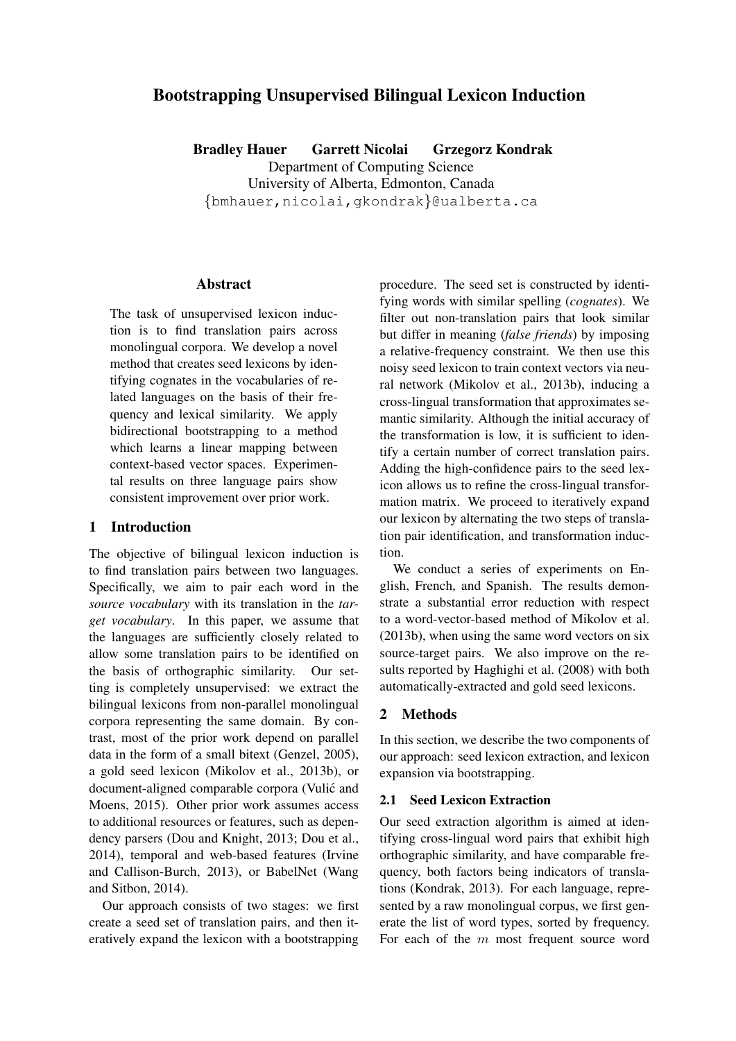# Bootstrapping Unsupervised Bilingual Lexicon Induction

Bradley Hauer Garrett Nicolai Grzegorz Kondrak Department of Computing Science University of Alberta, Edmonton, Canada {bmhauer,nicolai,gkondrak}@ualberta.ca

### Abstract

The task of unsupervised lexicon induction is to find translation pairs across monolingual corpora. We develop a novel method that creates seed lexicons by identifying cognates in the vocabularies of related languages on the basis of their frequency and lexical similarity. We apply bidirectional bootstrapping to a method which learns a linear mapping between context-based vector spaces. Experimental results on three language pairs show consistent improvement over prior work.

### 1 Introduction

The objective of bilingual lexicon induction is to find translation pairs between two languages. Specifically, we aim to pair each word in the *source vocabulary* with its translation in the *target vocabulary*. In this paper, we assume that the languages are sufficiently closely related to allow some translation pairs to be identified on the basis of orthographic similarity. Our setting is completely unsupervised: we extract the bilingual lexicons from non-parallel monolingual corpora representing the same domain. By contrast, most of the prior work depend on parallel data in the form of a small bitext (Genzel, 2005), a gold seed lexicon (Mikolov et al., 2013b), or document-aligned comparable corpora (Vulic and ´ Moens, 2015). Other prior work assumes access to additional resources or features, such as dependency parsers (Dou and Knight, 2013; Dou et al., 2014), temporal and web-based features (Irvine and Callison-Burch, 2013), or BabelNet (Wang and Sitbon, 2014).

Our approach consists of two stages: we first create a seed set of translation pairs, and then iteratively expand the lexicon with a bootstrapping

procedure. The seed set is constructed by identifying words with similar spelling (*cognates*). We filter out non-translation pairs that look similar but differ in meaning (*false friends*) by imposing a relative-frequency constraint. We then use this noisy seed lexicon to train context vectors via neural network (Mikolov et al., 2013b), inducing a cross-lingual transformation that approximates semantic similarity. Although the initial accuracy of the transformation is low, it is sufficient to identify a certain number of correct translation pairs. Adding the high-confidence pairs to the seed lexicon allows us to refine the cross-lingual transformation matrix. We proceed to iteratively expand our lexicon by alternating the two steps of translation pair identification, and transformation induction.

We conduct a series of experiments on English, French, and Spanish. The results demonstrate a substantial error reduction with respect to a word-vector-based method of Mikolov et al. (2013b), when using the same word vectors on six source-target pairs. We also improve on the results reported by Haghighi et al. (2008) with both automatically-extracted and gold seed lexicons.

## 2 Methods

In this section, we describe the two components of our approach: seed lexicon extraction, and lexicon expansion via bootstrapping.

#### 2.1 Seed Lexicon Extraction

Our seed extraction algorithm is aimed at identifying cross-lingual word pairs that exhibit high orthographic similarity, and have comparable frequency, both factors being indicators of translations (Kondrak, 2013). For each language, represented by a raw monolingual corpus, we first generate the list of word types, sorted by frequency. For each of the  $m$  most frequent source word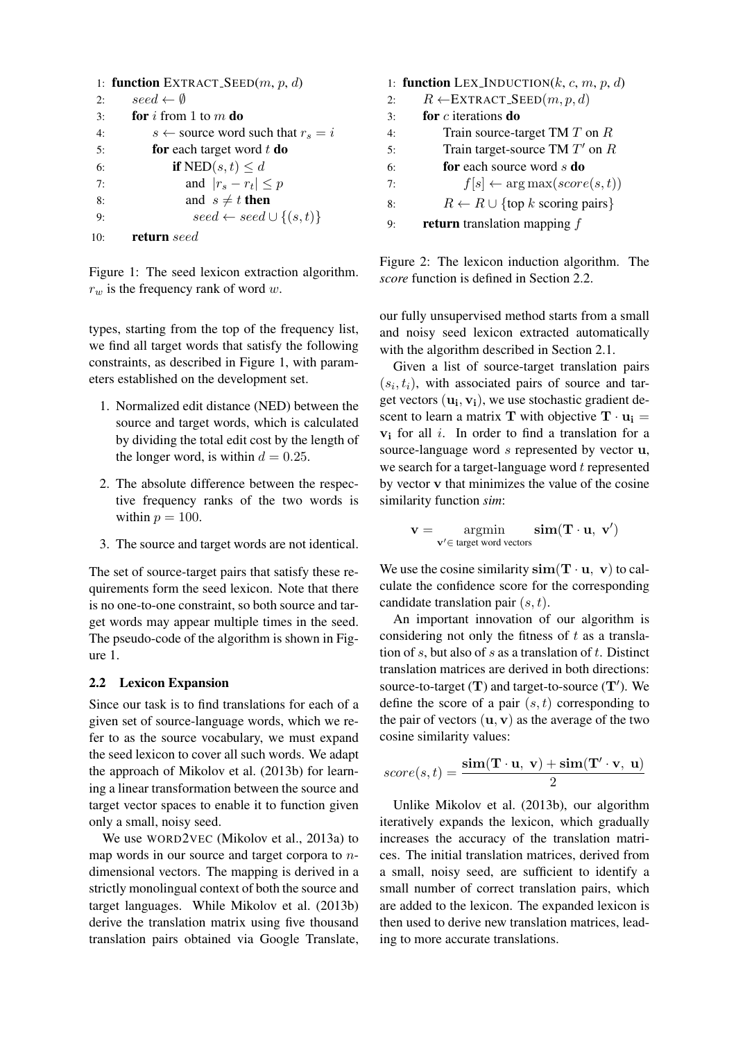```
1: function EXTRACT_SEED(m, p, d)2: seed \leftarrow \emptyset3: for i from 1 to m do
4: s \leftarrow source word such that r_s = i5: for each target word t do
6: if NED(s, t) \leq d7: and |r_s - r_t| \leq p8: and s \neq t then
9: seed \leftarrow seed \cup \{(s,t)\}10: return seed
```
Figure 1: The seed lexicon extraction algorithm.  $r_w$  is the frequency rank of word w.

types, starting from the top of the frequency list, we find all target words that satisfy the following constraints, as described in Figure 1, with parameters established on the development set.

- 1. Normalized edit distance (NED) between the source and target words, which is calculated by dividing the total edit cost by the length of the longer word, is within  $d = 0.25$ .
- 2. The absolute difference between the respective frequency ranks of the two words is within  $p = 100$ .
- 3. The source and target words are not identical.

The set of source-target pairs that satisfy these requirements form the seed lexicon. Note that there is no one-to-one constraint, so both source and target words may appear multiple times in the seed. The pseudo-code of the algorithm is shown in Figure 1.

#### 2.2 Lexicon Expansion

Since our task is to find translations for each of a given set of source-language words, which we refer to as the source vocabulary, we must expand the seed lexicon to cover all such words. We adapt the approach of Mikolov et al. (2013b) for learning a linear transformation between the source and target vector spaces to enable it to function given only a small, noisy seed.

We use WORD2VEC (Mikolov et al., 2013a) to map words in our source and target corpora to ndimensional vectors. The mapping is derived in a strictly monolingual context of both the source and target languages. While Mikolov et al. (2013b) derive the translation matrix using five thousand translation pairs obtained via Google Translate,

|    | 1: function LEX_INDUCTION( $k$ , $c$ , $m$ , $p$ , $d$ )       |  |  |  |  |  |  |
|----|----------------------------------------------------------------|--|--|--|--|--|--|
| 2: | $R \leftarrow \text{EXTRACT\_SEED}(m, p, d)$                   |  |  |  |  |  |  |
| 3: | for $c$ iterations do                                          |  |  |  |  |  |  |
| 4: | Train source-target TM $T$ on $R$                              |  |  |  |  |  |  |
| 5: | Train target-source TM $T'$ on $R$                             |  |  |  |  |  |  |
| 6: | <b>for</b> each source word s <b>do</b>                        |  |  |  |  |  |  |
| 7: | $f[s] \leftarrow \arg \max (score(s,t))$                       |  |  |  |  |  |  |
| 8: | $R \leftarrow R \cup \{\text{top } k \text{ scoring pairs}\}\$ |  |  |  |  |  |  |
| g. | <b>return</b> translation mapping $f$                          |  |  |  |  |  |  |

Figure 2: The lexicon induction algorithm. The *score* function is defined in Section 2.2.

our fully unsupervised method starts from a small and noisy seed lexicon extracted automatically with the algorithm described in Section 2.1.

Given a list of source-target translation pairs  $(s<sub>i</sub>, t<sub>i</sub>)$ , with associated pairs of source and target vectors  $(\mathbf{u_i}, \mathbf{v_i})$ , we use stochastic gradient descent to learn a matrix T with objective  $T \cdot u_i =$  $v_i$  for all i. In order to find a translation for a source-language word s represented by vector **u**, we search for a target-language word  $t$  represented by vector v that minimizes the value of the cosine similarity function *sim*:

$$
\mathbf{v} = \mathop{\rm argmin}\limits_{\mathbf{v'} \in \text{target word vectors}} \mathbf{sim}(\mathbf{T} \cdot \mathbf{u}, \; \mathbf{v'})
$$

We use the cosine similarity  $sim(T \cdot u, v)$  to calculate the confidence score for the corresponding candidate translation pair  $(s, t)$ .

An important innovation of our algorithm is considering not only the fitness of  $t$  as a translation of s, but also of s as a translation of t. Distinct translation matrices are derived in both directions: source-to-target  $(T)$  and target-to-source  $(T')$ . We define the score of a pair  $(s, t)$  corresponding to the pair of vectors  $(\mathbf{u}, \mathbf{v})$  as the average of the two cosine similarity values:

$$
score(s,t) = \frac{\textbf{sim}(\mathbf{T}\cdot \mathbf{u},\ \mathbf{v}) + \textbf{sim}(\mathbf{T}'\cdot \mathbf{v},\ \mathbf{u})}{2}
$$

Unlike Mikolov et al. (2013b), our algorithm iteratively expands the lexicon, which gradually increases the accuracy of the translation matrices. The initial translation matrices, derived from a small, noisy seed, are sufficient to identify a small number of correct translation pairs, which are added to the lexicon. The expanded lexicon is then used to derive new translation matrices, leading to more accurate translations.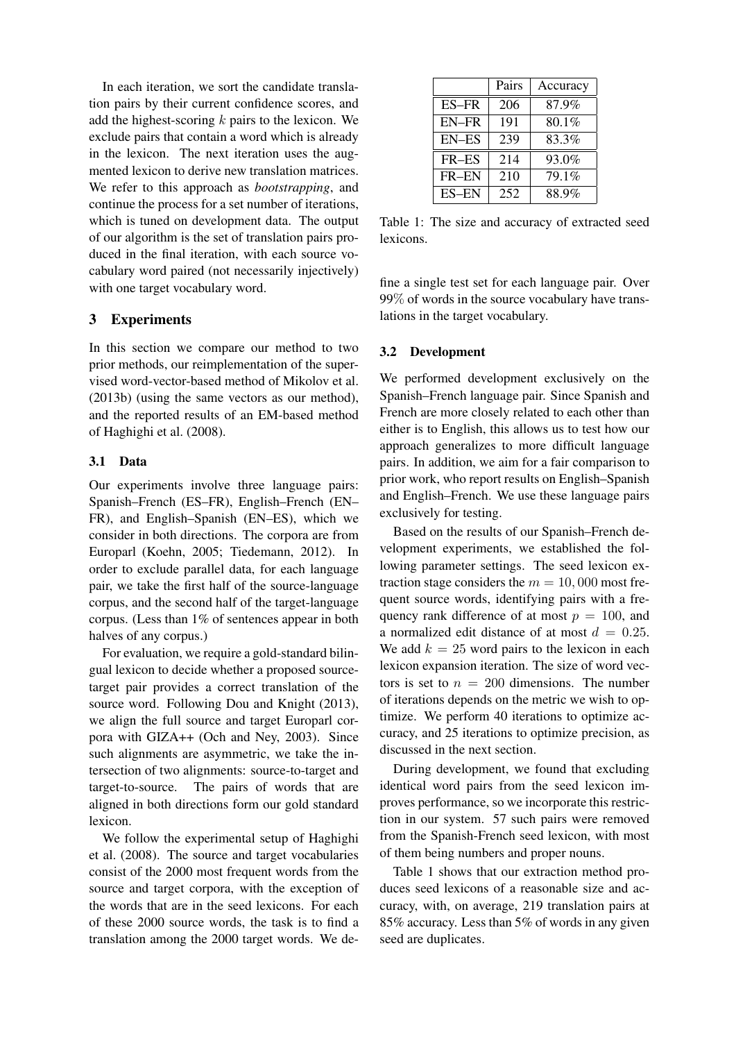In each iteration, we sort the candidate translation pairs by their current confidence scores, and add the highest-scoring  $k$  pairs to the lexicon. We exclude pairs that contain a word which is already in the lexicon. The next iteration uses the augmented lexicon to derive new translation matrices. We refer to this approach as *bootstrapping*, and continue the process for a set number of iterations, which is tuned on development data. The output of our algorithm is the set of translation pairs produced in the final iteration, with each source vocabulary word paired (not necessarily injectively) with one target vocabulary word.

## 3 Experiments

In this section we compare our method to two prior methods, our reimplementation of the supervised word-vector-based method of Mikolov et al. (2013b) (using the same vectors as our method), and the reported results of an EM-based method of Haghighi et al. (2008).

#### 3.1 Data

Our experiments involve three language pairs: Spanish–French (ES–FR), English–French (EN– FR), and English–Spanish (EN–ES), which we consider in both directions. The corpora are from Europarl (Koehn, 2005; Tiedemann, 2012). In order to exclude parallel data, for each language pair, we take the first half of the source-language corpus, and the second half of the target-language corpus. (Less than 1% of sentences appear in both halves of any corpus.)

For evaluation, we require a gold-standard bilingual lexicon to decide whether a proposed sourcetarget pair provides a correct translation of the source word. Following Dou and Knight (2013), we align the full source and target Europarl corpora with GIZA++ (Och and Ney, 2003). Since such alignments are asymmetric, we take the intersection of two alignments: source-to-target and target-to-source. The pairs of words that are aligned in both directions form our gold standard lexicon.

We follow the experimental setup of Haghighi et al. (2008). The source and target vocabularies consist of the 2000 most frequent words from the source and target corpora, with the exception of the words that are in the seed lexicons. For each of these 2000 source words, the task is to find a translation among the 2000 target words. We de-

|              | Pairs | Accuracy |
|--------------|-------|----------|
| ES-FR        | 206   | 87.9%    |
| <b>EN-FR</b> | 191   | 80.1%    |
| <b>EN-ES</b> | 239   | 83.3%    |
| FR-ES        | 214   | 93.0%    |
| FR-EN        | 210   | 79.1%    |
| <b>ES-EN</b> | 252   | 88.9%    |

Table 1: The size and accuracy of extracted seed lexicons.

fine a single test set for each language pair. Over 99% of words in the source vocabulary have translations in the target vocabulary.

#### 3.2 Development

We performed development exclusively on the Spanish–French language pair. Since Spanish and French are more closely related to each other than either is to English, this allows us to test how our approach generalizes to more difficult language pairs. In addition, we aim for a fair comparison to prior work, who report results on English–Spanish and English–French. We use these language pairs exclusively for testing.

Based on the results of our Spanish–French development experiments, we established the following parameter settings. The seed lexicon extraction stage considers the  $m = 10,000$  most frequent source words, identifying pairs with a frequency rank difference of at most  $p = 100$ , and a normalized edit distance of at most  $d = 0.25$ . We add  $k = 25$  word pairs to the lexicon in each lexicon expansion iteration. The size of word vectors is set to  $n = 200$  dimensions. The number of iterations depends on the metric we wish to optimize. We perform 40 iterations to optimize accuracy, and 25 iterations to optimize precision, as discussed in the next section.

During development, we found that excluding identical word pairs from the seed lexicon improves performance, so we incorporate this restriction in our system. 57 such pairs were removed from the Spanish-French seed lexicon, with most of them being numbers and proper nouns.

Table 1 shows that our extraction method produces seed lexicons of a reasonable size and accuracy, with, on average, 219 translation pairs at 85% accuracy. Less than 5% of words in any given seed are duplicates.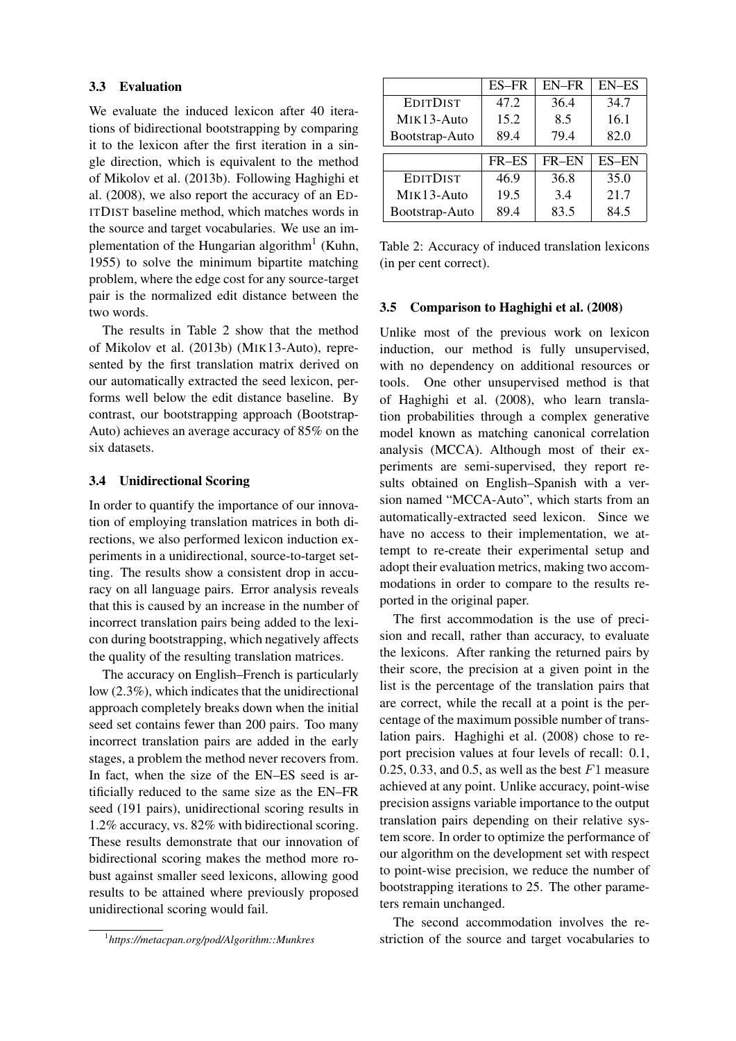#### 3.3 Evaluation

We evaluate the induced lexicon after 40 iterations of bidirectional bootstrapping by comparing it to the lexicon after the first iteration in a single direction, which is equivalent to the method of Mikolov et al. (2013b). Following Haghighi et al. (2008), we also report the accuracy of an ED-ITDIST baseline method, which matches words in the source and target vocabularies. We use an implementation of the Hungarian algorithm<sup>1</sup> (Kuhn, 1955) to solve the minimum bipartite matching problem, where the edge cost for any source-target pair is the normalized edit distance between the two words.

The results in Table 2 show that the method of Mikolov et al. (2013b) (MIK13-Auto), represented by the first translation matrix derived on our automatically extracted the seed lexicon, performs well below the edit distance baseline. By contrast, our bootstrapping approach (Bootstrap-Auto) achieves an average accuracy of 85% on the six datasets.

#### 3.4 Unidirectional Scoring

In order to quantify the importance of our innovation of employing translation matrices in both directions, we also performed lexicon induction experiments in a unidirectional, source-to-target setting. The results show a consistent drop in accuracy on all language pairs. Error analysis reveals that this is caused by an increase in the number of incorrect translation pairs being added to the lexicon during bootstrapping, which negatively affects the quality of the resulting translation matrices.

The accuracy on English–French is particularly low (2.3%), which indicates that the unidirectional approach completely breaks down when the initial seed set contains fewer than 200 pairs. Too many incorrect translation pairs are added in the early stages, a problem the method never recovers from. In fact, when the size of the EN–ES seed is artificially reduced to the same size as the EN–FR seed (191 pairs), unidirectional scoring results in 1.2% accuracy, vs. 82% with bidirectional scoring. These results demonstrate that our innovation of bidirectional scoring makes the method more robust against smaller seed lexicons, allowing good results to be attained where previously proposed unidirectional scoring would fail.

|                 | ES-FR | <b>EN-FR</b> | <b>EN-ES</b> |  |  |  |  |
|-----------------|-------|--------------|--------------|--|--|--|--|
| <b>EDITDIST</b> | 47.2  | 36.4         | 34.7         |  |  |  |  |
| MIK13-Auto      | 15.2  | 8.5          | 16.1         |  |  |  |  |
| Bootstrap-Auto  | 89.4  | 79.4         | 82.0         |  |  |  |  |
|                 |       |              |              |  |  |  |  |
|                 | FR-ES | FR-EN        | <b>ES-EN</b> |  |  |  |  |
| <b>EDITDIST</b> | 46.9  | 36.8         | 35.0         |  |  |  |  |
| MIK13-Auto      | 19.5  | 3.4          | 21.7         |  |  |  |  |
| Bootstrap-Auto  | 89.4  | 83.5         | 84.5         |  |  |  |  |

Table 2: Accuracy of induced translation lexicons (in per cent correct).

#### 3.5 Comparison to Haghighi et al. (2008)

Unlike most of the previous work on lexicon induction, our method is fully unsupervised, with no dependency on additional resources or tools. One other unsupervised method is that of Haghighi et al. (2008), who learn translation probabilities through a complex generative model known as matching canonical correlation analysis (MCCA). Although most of their experiments are semi-supervised, they report results obtained on English–Spanish with a version named "MCCA-Auto", which starts from an automatically-extracted seed lexicon. Since we have no access to their implementation, we attempt to re-create their experimental setup and adopt their evaluation metrics, making two accommodations in order to compare to the results reported in the original paper.

The first accommodation is the use of precision and recall, rather than accuracy, to evaluate the lexicons. After ranking the returned pairs by their score, the precision at a given point in the list is the percentage of the translation pairs that are correct, while the recall at a point is the percentage of the maximum possible number of translation pairs. Haghighi et al. (2008) chose to report precision values at four levels of recall: 0.1, 0.25, 0.33, and 0.5, as well as the best  $F1$  measure achieved at any point. Unlike accuracy, point-wise precision assigns variable importance to the output translation pairs depending on their relative system score. In order to optimize the performance of our algorithm on the development set with respect to point-wise precision, we reduce the number of bootstrapping iterations to 25. The other parameters remain unchanged.

The second accommodation involves the restriction of the source and target vocabularies to

<sup>1</sup> *https://metacpan.org/pod/Algorithm::Munkres*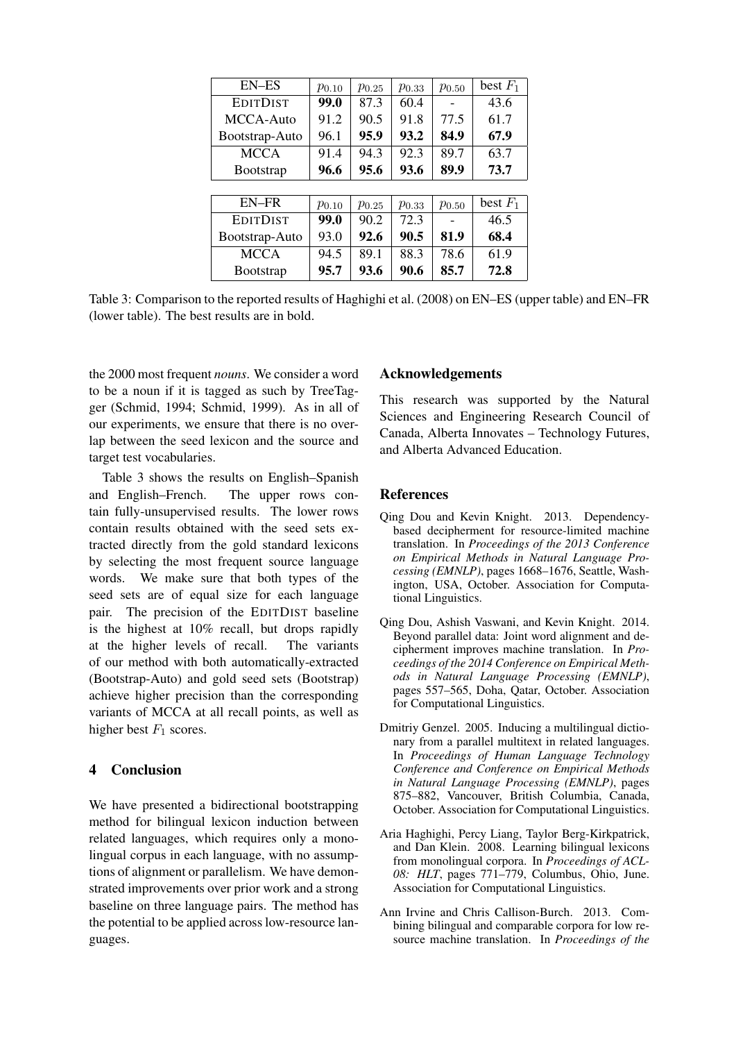| EN-ES             | $p_{0.10}$ | $p_{0.25}$ | $p_{0.33}$ | $p_{0.50}$ | best $F_1$ |
|-------------------|------------|------------|------------|------------|------------|
| <b>EDITDIST</b>   | 99.0       | 87.3       | 60.4       |            | 43.6       |
| MCCA-Auto         | 91.2       | 90.5       | 91.8       | 77.5       | 61.7       |
| Bootstrap-Auto    | 96.1       | 95.9       | 93.2       | 84.9       | 67.9       |
| <b>MCCA</b>       | 91.4       | 94.3       | 92.3       | 89.7       | 63.7       |
| <b>B</b> ootstrap | 96.6       | 95.6       | 93.6       | 89.9       | 73.7       |
|                   |            |            |            |            |            |
| EN-FR             | $p_{0.10}$ | $p_{0.25}$ | $p_{0.33}$ | $p_{0.50}$ | best $F_1$ |
| <b>EDITDIST</b>   | 99.0       | 90.2       | 72.3       |            | 46.5       |
| Bootstrap-Auto    | 93.0       | 92.6       | 90.5       | 81.9       | 68.4       |
| <b>MCCA</b>       | 94.5       | 89.1       | 88.3       | 78.6       | 61.9       |
| <b>B</b> ootstrap | 95.7       | 93.6       | 90.6       | 85.7       | 72.8       |

Table 3: Comparison to the reported results of Haghighi et al. (2008) on EN–ES (upper table) and EN–FR (lower table). The best results are in bold.

the 2000 most frequent *nouns*. We consider a word to be a noun if it is tagged as such by TreeTagger (Schmid, 1994; Schmid, 1999). As in all of our experiments, we ensure that there is no overlap between the seed lexicon and the source and target test vocabularies.

Table 3 shows the results on English–Spanish and English–French. The upper rows contain fully-unsupervised results. The lower rows contain results obtained with the seed sets extracted directly from the gold standard lexicons by selecting the most frequent source language words. We make sure that both types of the seed sets are of equal size for each language pair. The precision of the EDITDIST baseline is the highest at 10% recall, but drops rapidly at the higher levels of recall. The variants of our method with both automatically-extracted (Bootstrap-Auto) and gold seed sets (Bootstrap) achieve higher precision than the corresponding variants of MCCA at all recall points, as well as higher best  $F_1$  scores.

## 4 Conclusion

We have presented a bidirectional bootstrapping method for bilingual lexicon induction between related languages, which requires only a monolingual corpus in each language, with no assumptions of alignment or parallelism. We have demonstrated improvements over prior work and a strong baseline on three language pairs. The method has the potential to be applied across low-resource languages.

## Acknowledgements

This research was supported by the Natural Sciences and Engineering Research Council of Canada, Alberta Innovates – Technology Futures, and Alberta Advanced Education.

## References

- Qing Dou and Kevin Knight. 2013. Dependencybased decipherment for resource-limited machine translation. In *Proceedings of the 2013 Conference on Empirical Methods in Natural Language Processing (EMNLP)*, pages 1668–1676, Seattle, Washington, USA, October. Association for Computational Linguistics.
- Qing Dou, Ashish Vaswani, and Kevin Knight. 2014. Beyond parallel data: Joint word alignment and decipherment improves machine translation. In *Proceedings of the 2014 Conference on Empirical Methods in Natural Language Processing (EMNLP)*, pages 557–565, Doha, Qatar, October. Association for Computational Linguistics.
- Dmitriy Genzel. 2005. Inducing a multilingual dictionary from a parallel multitext in related languages. In *Proceedings of Human Language Technology Conference and Conference on Empirical Methods in Natural Language Processing (EMNLP)*, pages 875–882, Vancouver, British Columbia, Canada, October. Association for Computational Linguistics.
- Aria Haghighi, Percy Liang, Taylor Berg-Kirkpatrick, and Dan Klein. 2008. Learning bilingual lexicons from monolingual corpora. In *Proceedings of ACL-08: HLT*, pages 771–779, Columbus, Ohio, June. Association for Computational Linguistics.
- Ann Irvine and Chris Callison-Burch. 2013. Combining bilingual and comparable corpora for low resource machine translation. In *Proceedings of the*